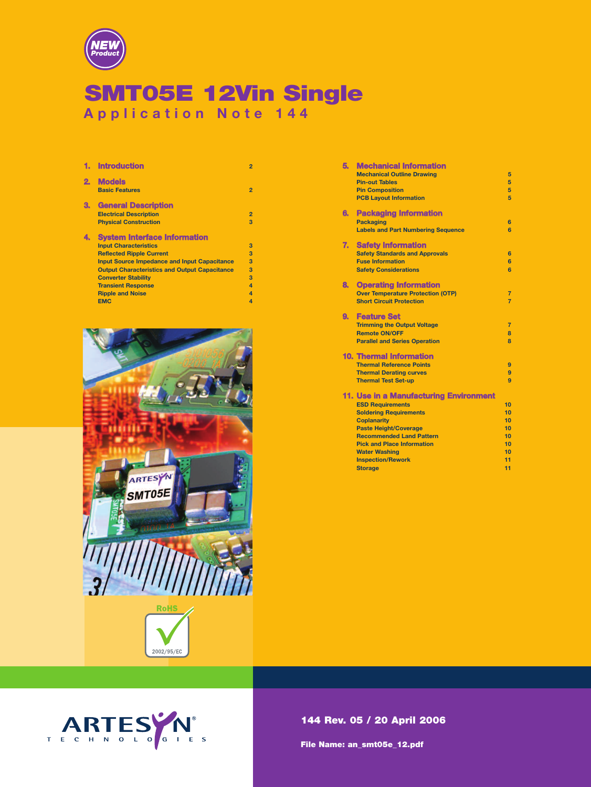

# **SMT05E 12Vin Single Application Note 144**

|              | <b>Introduction</b>                                  | $\overline{2}$   |
|--------------|------------------------------------------------------|------------------|
| $\mathbf{2}$ | <b>Models</b><br><b>Basic Features</b>               | $\overline{2}$   |
| З.           | <b>General Description</b>                           |                  |
|              | <b>Electrical Description</b>                        | $\overline{2}$   |
|              | <b>Physical Construction</b>                         | 3                |
| 4.           | <b>System Interface Information</b>                  |                  |
|              | <b>Input Characteristics</b>                         | 3                |
|              | <b>Reflected Ripple Current</b>                      | 3                |
|              | <b>Input Source Impedance and Input Capacitance</b>  | 3                |
|              | <b>Output Characteristics and Output Capacitance</b> | 3                |
|              | <b>Converter Stability</b>                           | 3                |
|              | <b>Transient Response</b>                            | $\boldsymbol{A}$ |
|              | <b>Ripple and Noise</b>                              |                  |
|              | <b>EMC</b>                                           | 4                |



| 5. | <b>Mechanical Information</b>                      |                |
|----|----------------------------------------------------|----------------|
|    | <b>Mechanical Outline Drawing</b>                  | 5              |
|    | <b>Pin-out Tables</b>                              | 5              |
|    | <b>Pin Composition</b>                             | 5              |
|    | <b>PCB Lavout Information</b>                      | 5              |
|    |                                                    |                |
| 6. | <b>Packaging Information</b>                       |                |
|    | <b>Packaging</b>                                   | 6              |
|    | <b>Labels and Part Numbering Sequence</b>          | 6              |
|    |                                                    |                |
| 7. | <b>Safety Information</b>                          |                |
|    | <b>Safety Standards and Approvals</b>              | 6              |
|    | <b>Fuse Information</b>                            | 6              |
|    | <b>Safety Considerations</b>                       | 6              |
| 8. | <b>Operating Information</b>                       |                |
|    | <b>Over Temperature Protection (OTP)</b>           | 7              |
|    | <b>Short Circuit Protection</b>                    | $\overline{7}$ |
|    |                                                    |                |
| 9. | <b>Feature Set</b>                                 |                |
|    | <b>Trimming the Output Voltage</b>                 | $\overline{7}$ |
|    | <b>Remote ON/OFF</b>                               | 8              |
|    | <b>Parallel and Series Operation</b>               | $\mathbf{R}$   |
|    |                                                    |                |
|    | <b>10. Thermal Information</b>                     |                |
|    | <b>Thermal Reference Points</b>                    | 9              |
|    | <b>Thermal Derating curves</b>                     | 9              |
|    | <b>Thermal Test Set-up</b>                         | $\overline{a}$ |
|    | 11. Use in a Manufacturing Environment             |                |
|    | <b>ESD Requirements</b>                            | 10             |
|    | <b>Soldering Requirements</b>                      | 10             |
|    |                                                    | 10             |
|    | <b>Coplanarity</b><br><b>Paste Height/Coverage</b> | 10             |
|    | <b>Recommended Land Pattern</b>                    | 10             |
|    | <b>Pick and Place Information</b>                  | 10             |
|    | <b>Water Washing</b>                               | 10             |
|    | <b>Inspection/Rework</b>                           | 11             |
|    | <b>Storage</b>                                     | 11             |
|    |                                                    |                |
|    |                                                    |                |

**144 Rev. 05 / 20 April 2006**

**File Name: an\_smt05e\_12.pdf**

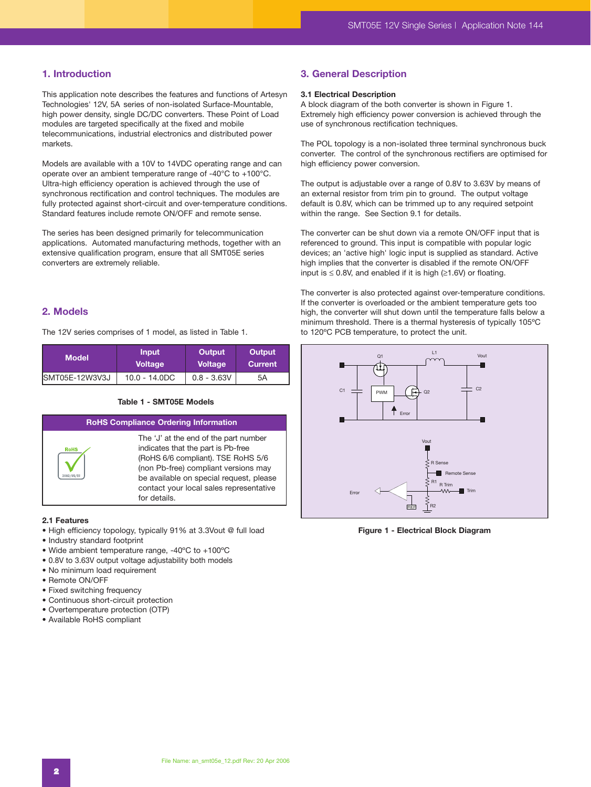# **1. Introduction**

This application note describes the features and functions of Artesyn Technologies' 12V, 5A series of non-isolated Surface-Mountable, high power density, single DC/DC converters. These Point of Load modules are targeted specifically at the fixed and mobile telecommunications, industrial electronics and distributed power markets.

Models are available with a 10V to 14VDC operating range and can operate over an ambient temperature range of -40°C to +100°C. Ultra-high efficiency operation is achieved through the use of synchronous rectification and control techniques. The modules are fully protected against short-circuit and over-temperature conditions. Standard features include remote ON/OFF and remote sense.

The series has been designed primarily for telecommunication applications. Automated manufacturing methods, together with an extensive qualification program, ensure that all SMT05E series converters are extremely reliable.

# **2. Models**

The 12V series comprises of 1 model, as listed in Table 1.

| <b>Model</b>   | <b>Input</b>    | Output         | Output  |
|----------------|-----------------|----------------|---------|
|                | <b>Voltage</b>  | <b>Voltage</b> | Current |
| SMT05E-12W3V3J | $10.0 - 14.0DC$ | $0.8 - 3.63V$  | 5Α      |

#### **Table 1 - SMT05E Models**

**RoHS Compliance Ordering Information** The 'J' at the end of the part number indicates that the part is Pb-free **RoHS** (RoHS 6/6 compliant). TSE RoHS 5/6 (non Pb-free) compliant versions may be available on special request, please contact your local sales representative for details.

#### **2.1 Features**

- High efficiency topology, typically 91% at 3.3Vout @ full load
- Industry standard footprint
- Wide ambient temperature range, -40ºC to +100ºC
- 0.8V to 3.63V output voltage adjustability both models
- No minimum load requirement
- Remote ON/OFF
- Fixed switching frequency
- Continuous short-circuit protection
- Overtemperature protection (OTP)
- Available RoHS compliant

#### **3. General Description**

#### **3.1 Electrical Description**

A block diagram of the both converter is shown in Figure 1. Extremely high efficiency power conversion is achieved through the use of synchronous rectification techniques.

The POL topology is a non-isolated three terminal synchronous buck converter. The control of the synchronous rectifiers are optimised for high efficiency power conversion.

The output is adjustable over a range of 0.8V to 3.63V by means of an external resistor from trim pin to ground. The output voltage default is 0.8V, which can be trimmed up to any required setpoint within the range. See Section 9.1 for details.

The converter can be shut down via a remote ON/OFF input that is referenced to ground. This input is compatible with popular logic devices; an 'active high' logic input is supplied as standard. Active high implies that the converter is disabled if the remote ON/OFF input is  $\leq$  0.8V, and enabled if it is high ( $\geq$ 1.6V) or floating.

The converter is also protected against over-temperature conditions. If the converter is overloaded or the ambient temperature gets too high, the converter will shut down until the temperature falls below a minimum threshold. There is a thermal hysteresis of typically 105ºC to 120ºC PCB temperature, to protect the unit.



**Figure 1 - Electrical Block Diagram**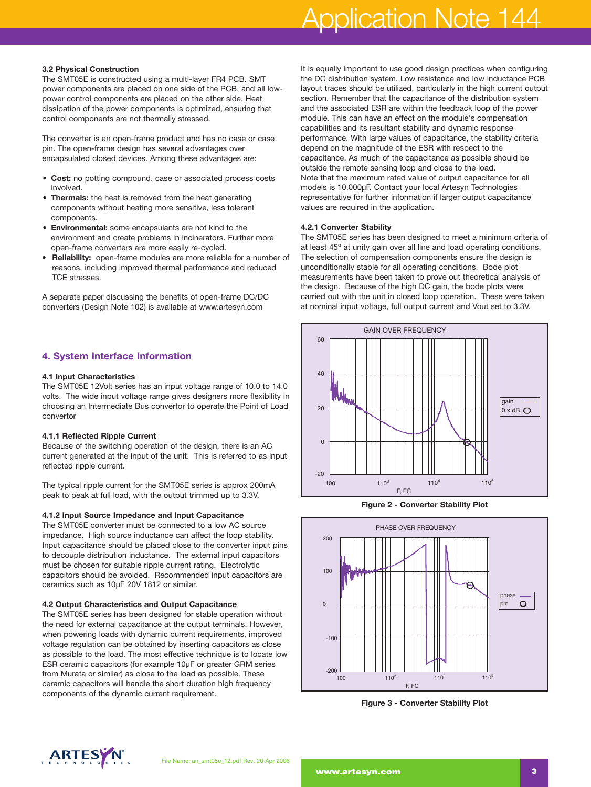# Application Note 144

#### **3.2 Physical Construction**

The SMT05E is constructed using a multi-layer FR4 PCB. SMT power components are placed on one side of the PCB, and all lowpower control components are placed on the other side. Heat dissipation of the power components is optimized, ensuring that control components are not thermally stressed.

The converter is an open-frame product and has no case or case pin. The open-frame design has several advantages over encapsulated closed devices. Among these advantages are:

- **Cost:** no potting compound, case or associated process costs involved.
- **Thermals:** the heat is removed from the heat generating components without heating more sensitive, less tolerant components.
- **Environmental:** some encapsulants are not kind to the environment and create problems in incinerators. Further more open-frame converters are more easily re-cycled.
- **Reliability:** open-frame modules are more reliable for a number of reasons, including improved thermal performance and reduced TCE stresses.

A separate paper discussing the benefits of open-frame DC/DC converters (Design Note 102) is available at www.artesyn.com

# **4. System Interface Information**

#### **4.1 Input Characteristics**

The SMT05E 12Volt series has an input voltage range of 10.0 to 14.0 volts. The wide input voltage range gives designers more flexibility in choosing an Intermediate Bus convertor to operate the Point of Load convertor

#### **4.1.1 Reflected Ripple Current**

Because of the switching operation of the design, there is an AC current generated at the input of the unit. This is referred to as input reflected ripple current.

The typical ripple current for the SMT05E series is approx 200mA peak to peak at full load, with the output trimmed up to 3.3V.

#### **4.1.2 Input Source Impedance and Input Capacitance**

The SMT05E converter must be connected to a low AC source impedance. High source inductance can affect the loop stability. Input capacitance should be placed close to the converter input pins to decouple distribution inductance. The external input capacitors must be chosen for suitable ripple current rating. Electrolytic capacitors should be avoided. Recommended input capacitors are ceramics such as 10µF 20V 1812 or similar.

#### **4.2 Output Characteristics and Output Capacitance**

The SMT05E series has been designed for stable operation without the need for external capacitance at the output terminals. However, when powering loads with dynamic current requirements, improved voltage regulation can be obtained by inserting capacitors as close as possible to the load. The most effective technique is to locate low ESR ceramic capacitors (for example 10µF or greater GRM series from Murata or similar) as close to the load as possible. These ceramic capacitors will handle the short duration high frequency components of the dynamic current requirement.

It is equally important to use good design practices when configuring the DC distribution system. Low resistance and low inductance PCB layout traces should be utilized, particularly in the high current output section. Remember that the capacitance of the distribution system and the associated ESR are within the feedback loop of the power module. This can have an effect on the module's compensation capabilities and its resultant stability and dynamic response performance. With large values of capacitance, the stability criteria depend on the magnitude of the ESR with respect to the capacitance. As much of the capacitance as possible should be outside the remote sensing loop and close to the load. Note that the maximum rated value of output capacitance for all models is 10,000µF. Contact your local Artesyn Technologies representative for further information if larger output capacitance values are required in the application.

#### **4.2.1 Converter Stability**

The SMT05E series has been designed to meet a minimum criteria of at least 45º at unity gain over all line and load operating conditions. The selection of compensation components ensure the design is unconditionally stable for all operating conditions. Bode plot measurements have been taken to prove out theoretical analysis of the design. Because of the high DC gain, the bode plots were carried out with the unit in closed loop operation. These were taken at nominal input voltage, full output current and Vout set to 3.3V.



**Figure 2 - Converter Stability Plot**



**Figure 3 - Converter Stability Plot**

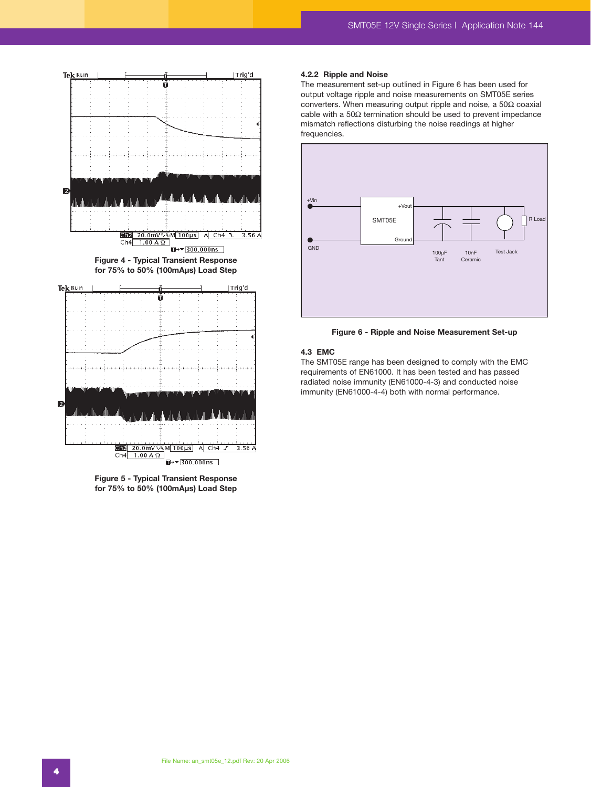



#### **4.2.2 Ripple and Noise**

The measurement set-up outlined in Figure 6 has been used for output voltage ripple and noise measurements on SMT05E series converters. When measuring output ripple and noise, a 50Ω coaxial cable with a 50Ω termination should be used to prevent impedance mismatch reflections disturbing the noise readings at higher frequencies.



**Figure 6 - Ripple and Noise Measurement Set-up**

#### **4.3 EMC**

The SMT05E range has been designed to comply with the EMC requirements of EN61000. It has been tested and has passed radiated noise immunity (EN61000-4-3) and conducted noise immunity (EN61000-4-4) both with normal performance.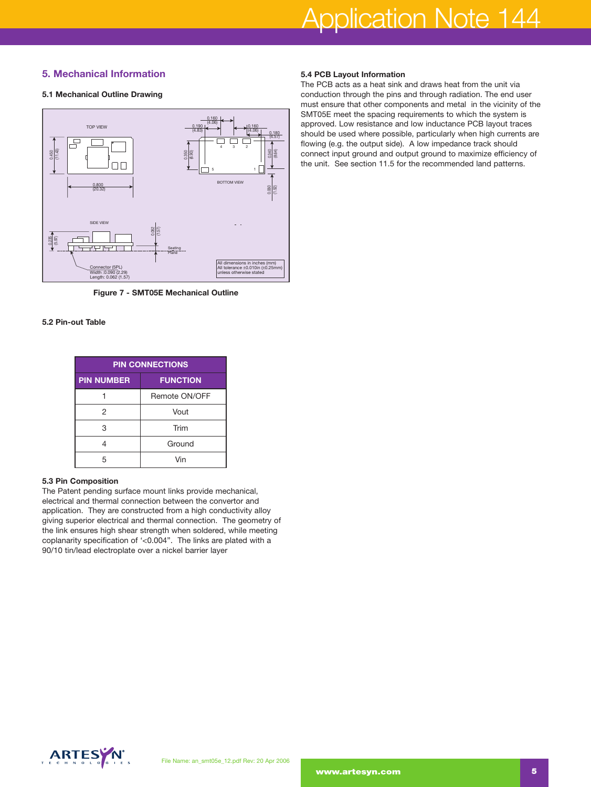# **5. Mechanical Information**

#### **5.1 Mechanical Outline Drawing**



**Figure 7 - SMT05E Mechanical Outline**

### **5.2 Pin-out Table**

| <b>PIN CONNECTIONS</b> |                 |  |  |
|------------------------|-----------------|--|--|
| <b>PIN NUMBER</b>      | <b>FUNCTION</b> |  |  |
|                        | Remote ON/OFF   |  |  |
| 2                      | Vout            |  |  |
| 3                      | Trim            |  |  |
|                        | Ground          |  |  |
|                        | Vin             |  |  |

#### **5.3 Pin Composition**

The Patent pending surface mount links provide mechanical, electrical and thermal connection between the convertor and application. They are constructed from a high conductivity alloy giving superior electrical and thermal connection. The geometry of the link ensures high shear strength when soldered, while meeting coplanarity specification of '<0.004". The links are plated with a 90/10 tin/lead electroplate over a nickel barrier layer

#### **5.4 PCB Layout Information**

The PCB acts as a heat sink and draws heat from the unit via conduction through the pins and through radiation. The end user must ensure that other components and metal in the vicinity of the SMT05E meet the spacing requirements to which the system is approved. Low resistance and low inductance PCB layout traces should be used where possible, particularly when high currents are flowing (e.g. the output side). A low impedance track should connect input ground and output ground to maximize efficiency of the unit. See section 11.5 for the recommended land patterns.

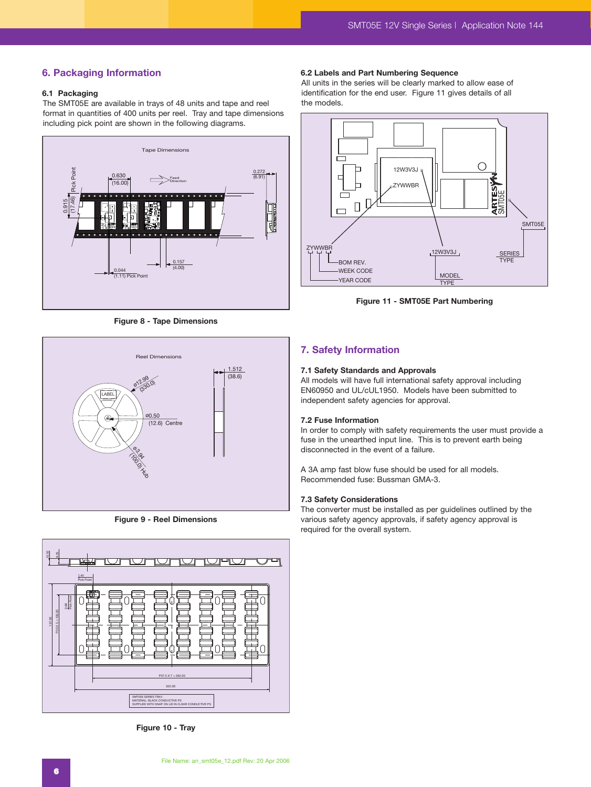# **6. Packaging Information**

#### **6.1 Packaging**

The SMT05E are available in trays of 48 units and tape and reel format in quantities of 400 units per reel. Tray and tape dimensions including pick point are shown in the following diagrams.



**Figure 8 - Tape Dimensions**



**Figure 9 - Reel Dimensions**



**Figure 10 - Tray**

#### **6.2 Labels and Part Numbering Sequence**

All units in the series will be clearly marked to allow ease of identification for the end user. Figure 11 gives details of all the models.



**Figure 11 - SMT05E Part Numbering**

# **7. Safety Information**

#### **7.1 Safety Standards and Approvals**

All models will have full international safety approval including EN60950 and UL/cUL1950. Models have been submitted to independent safety agencies for approval.

#### **7.2 Fuse Information**

In order to comply with safety requirements the user must provide a fuse in the unearthed input line. This is to prevent earth being disconnected in the event of a failure.

A 3A amp fast blow fuse should be used for all models. Recommended fuse: Bussman GMA-3.

#### **7.3 Safety Considerations**

The converter must be installed as per guidelines outlined by the various safety agency approvals, if safety agency approval is required for the overall system.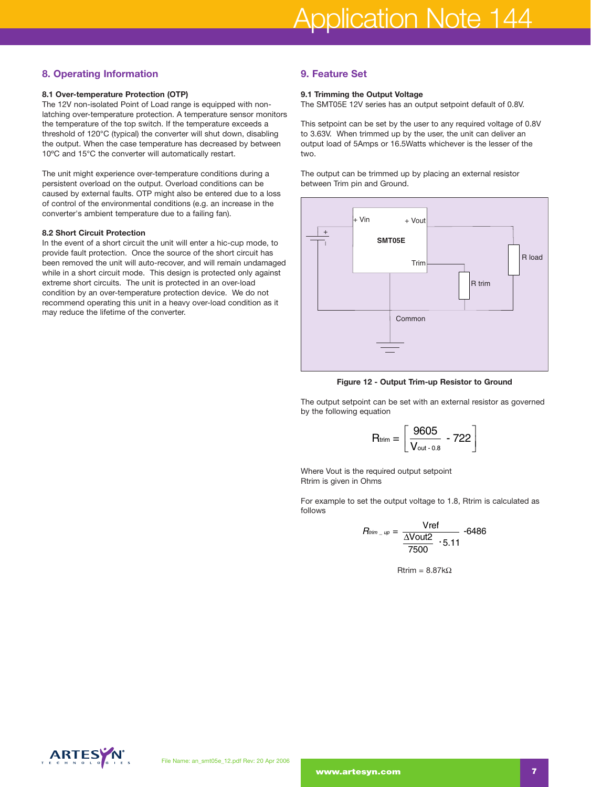# **8. Operating Information**

#### **8.1 Over-temperature Protection (OTP)**

The 12V non-isolated Point of Load range is equipped with nonlatching over-temperature protection. A temperature sensor monitors the temperature of the top switch. If the temperature exceeds a threshold of 120°C (typical) the converter will shut down, disabling the output. When the case temperature has decreased by between 10ºC and 15°C the converter will automatically restart.

The unit might experience over-temperature conditions during a persistent overload on the output. Overload conditions can be caused by external faults. OTP might also be entered due to a loss of control of the environmental conditions (e.g. an increase in the converter's ambient temperature due to a failing fan).

#### **8.2 Short Circuit Protection**

In the event of a short circuit the unit will enter a hic-cup mode, to provide fault protection. Once the source of the short circuit has been removed the unit will auto-recover, and will remain undamaged while in a short circuit mode. This design is protected only against extreme short circuits. The unit is protected in an over-load condition by an over-temperature protection device. We do not recommend operating this unit in a heavy over-load condition as it may reduce the lifetime of the converter.

# **9. Feature Set**

#### **9.1 Trimming the Output Voltage**

The SMT05E 12V series has an output setpoint default of 0.8V.

This setpoint can be set by the user to any required voltage of 0.8V to 3.63V. When trimmed up by the user, the unit can deliver an output load of 5Amps or 16.5Watts whichever is the lesser of the two.

The output can be trimmed up by placing an external resistor between Trim pin and Ground.



**Figure 12 - Output Trim-up Resistor to Ground**

The output setpoint can be set with an external resistor as governed by the following equation

$$
P = \text{Output Trim-up Resistance}
$$
\n
$$
P = \text{Output Trim-up Resistance}
$$
\n
$$
P = \frac{9605}{V_{\text{out }-0.8}} - 722
$$

Where Vout is the required output setpoint Rtrim is given in Ohms

For example to set the output voltage to 1.8, Rtrim is calculated as follows

Hint = 
$$
\left\lfloor \frac{V_{\text{out}-0.8}}{V_{\text{out}-0.8}} - \frac{722}{2} \right\rfloor
$$

\nRequired output setpoint

\nOhms

\nLet the output voltage to 1.8, Rtrim is

\n
$$
R_{\text{him} - \text{up}} = \frac{V_{\text{ref}}}{\frac{\Delta V_{\text{out2}}}{7500} \cdot 5.11} - 6486
$$

$$
Rtrim = 8.87k\Omega
$$

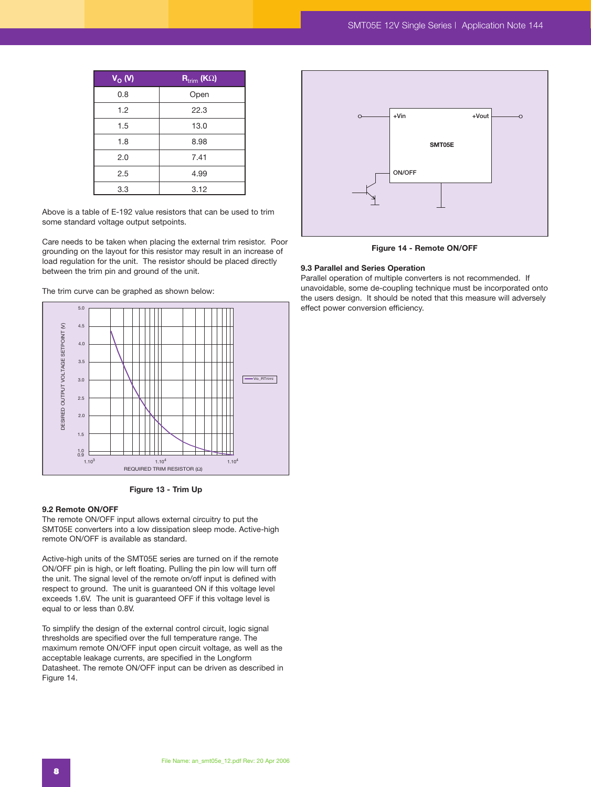| $V_{O}$ (V) | $R_{\text{trim}}$ (K $\Omega$ ) |
|-------------|---------------------------------|
| 0.8         | Open                            |
| 1.2         | 22.3                            |
| 1.5         | 13.0                            |
| 1.8         | 8.98                            |
| 2.0         | 7.41                            |
| 2.5         | 4.99                            |
| 3.3         | 3.12                            |

Above is a table of E-192 value resistors that can be used to trim some standard voltage output setpoints.

Care needs to be taken when placing the external trim resistor. Poor grounding on the layout for this resistor may result in an increase of load regulation for the unit. The resistor should be placed directly between the trim pin and ground of the unit.

The trim curve can be graphed as shown below:



**Figure 13 - Trim Up** 

#### **9.2 Remote ON/OFF**

The remote ON/OFF input allows external circuitry to put the SMT05E converters into a low dissipation sleep mode. Active-high remote ON/OFF is available as standard.

Active-high units of the SMT05E series are turned on if the remote ON/OFF pin is high, or left floating. Pulling the pin low will turn off the unit. The signal level of the remote on/off input is defined with respect to ground. The unit is guaranteed ON if this voltage level exceeds 1.6V. The unit is guaranteed OFF if this voltage level is equal to or less than 0.8V.

To simplify the design of the external control circuit, logic signal thresholds are specified over the full temperature range. The maximum remote ON/OFF input open circuit voltage, as well as the acceptable leakage currents, are specified in the Longform Datasheet. The remote ON/OFF input can be driven as described in Figure 14.



**Figure 14 - Remote ON/OFF**

#### **9.3 Parallel and Series Operation**

Parallel operation of multiple converters is not recommended. If unavoidable, some de-coupling technique must be incorporated onto the users design. It should be noted that this measure will adversely effect power conversion efficiency.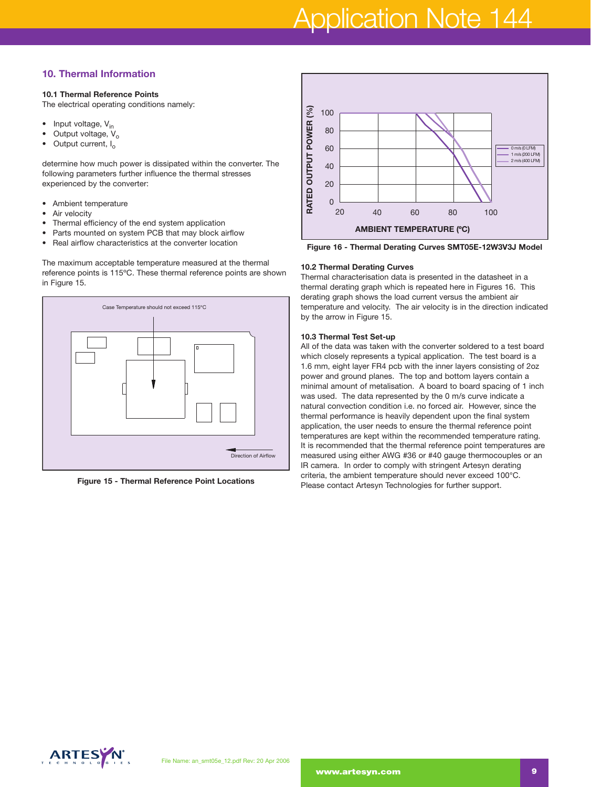# Application Note 144

# **10. Thermal Information**

#### **10.1 Thermal Reference Points**

The electrical operating conditions namely:

- Input voltage,  $V_{in}$
- Output voltage,  $V_o$ <br>• Output current L
- Output current, I<sub>o</sub>

determine how much power is dissipated within the converter. The following parameters further influence the thermal stresses experienced by the converter:

- Ambient temperature
- Air velocity
- Thermal efficiency of the end system application
- Parts mounted on system PCB that may block airflow
- Real airflow characteristics at the converter location

The maximum acceptable temperature measured at the thermal reference points is 115ºC. These thermal reference points are shown in Figure 15.



**Figure 15 - Thermal Reference Point Locations** 



**Figure 16 - Thermal Derating Curves SMT05E-12W3V3J Model**

#### **10.2 Thermal Derating Curves**

Thermal characterisation data is presented in the datasheet in a thermal derating graph which is repeated here in Figures 16. This derating graph shows the load current versus the ambient air temperature and velocity. The air velocity is in the direction indicated by the arrow in Figure 15.

#### **10.3 Thermal Test Set-up**

All of the data was taken with the converter soldered to a test board which closely represents a typical application. The test board is a 1.6 mm, eight layer FR4 pcb with the inner layers consisting of 2oz power and ground planes. The top and bottom layers contain a minimal amount of metalisation. A board to board spacing of 1 inch was used. The data represented by the 0 m/s curve indicate a natural convection condition i.e. no forced air. However, since the thermal performance is heavily dependent upon the final system application, the user needs to ensure the thermal reference point temperatures are kept within the recommended temperature rating. It is recommended that the thermal reference point temperatures are measured using either AWG #36 or #40 gauge thermocouples or an IR camera. In order to comply with stringent Artesyn derating criteria, the ambient temperature should never exceed 100°C. Please contact Artesyn Technologies for further support.

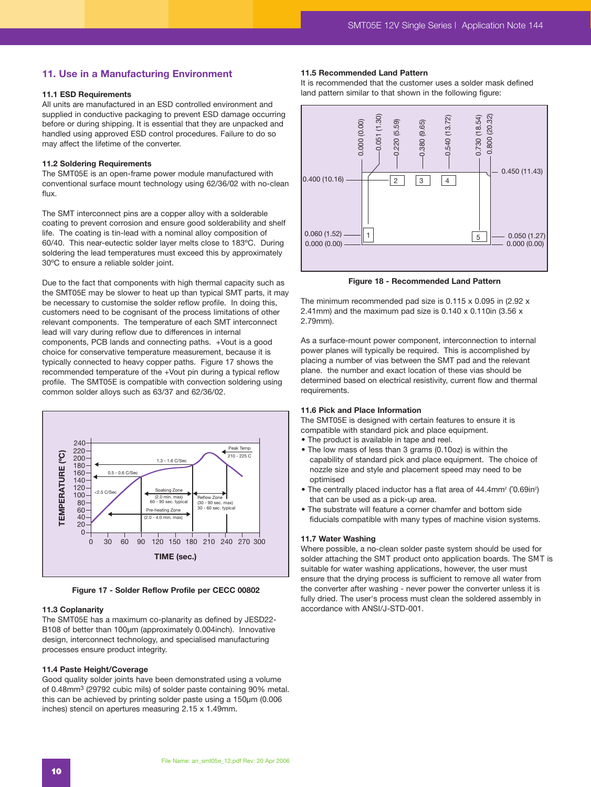### **11. Use in a Manufacturing Environment**

#### **11.1 ESD Requirements**

All units are manufactured in an ESD controlled environment and supplied in conductive packaging to prevent ESD damage occurring before or during shipping. It is essential that they are unpacked and handled using approved ESD control procedures. Failure to do so may affect the lifetime of the converter.

#### **11.2 Soldering Requirements**

The SMT05E is an open-frame power module manufactured with conventional surface mount technology using 62/36/02 with no-clean flux.

The SMT interconnect pins are a copper alloy with a solderable coating to prevent corrosion and ensure good solderability and shelf life. The coating is tin-lead with a nominal alloy composition of 60/40. This near-eutectic solder layer melts close to 183ºC. During soldering the lead temperatures must exceed this by approximately 30ºC to ensure a reliable solder joint.

Due to the fact that components with high thermal capacity such as the SMT05E may be slower to heat up than typical SMT parts, it may be necessary to customise the solder reflow profile. In doing this, customers need to be cognisant of the process limitations of other relevant components. The temperature of each SMT interconnect lead will vary during reflow due to differences in internal components, PCB lands and connecting paths. +Vout is a good choice for conservative temperature measurement, because it is typically connected to heavy copper paths. Figure 17 shows the recommended temperature of the +Vout pin during a typical reflow profile. The SMT05E is compatible with convection soldering using common solder alloys such as 63/37 and 62/36/02.



**Figure 17 - Solder Reflow Profile per CECC 00802**

#### **11.3 Coplanarity**

The SMT05E has a maximum co-planarity as defined by JESD22- B108 of better than 100um (approximately 0.004inch). Innovative design, interconnect technology, and specialised manufacturing processes ensure product integrity.

#### **11.4 Paste Height/Coverage**

Good quality solder joints have been demonstrated using a volume of 0.48mm3 (29792 cubic mils) of solder paste containing 90% metal. this can be achieved by printing solder paste using a 150µm (0.006 inches) stencil on apertures measuring 2.15 x 1.49mm.

#### **11.5 Recommended Land Pattern**

It is recommended that the customer uses a solder mask defined land pattern similar to that shown in the following figure:



**Figure 18 - Recommended Land Pattern**

The minimum recommended pad size is 0.115 x 0.095 in (2.92 x 2.41mm) and the maximum pad size is 0.140 x 0.110in (3.56 x 2.79mm).

As a surface-mount power component, interconnection to internal power planes will typically be required. This is accomplished by placing a number of vias between the SMT pad and the relevant plane. the number and exact location of these vias should be determined based on electrical resistivity, current flow and thermal requirements.

#### **11.6 Pick and Place Information**

The SMT05E is designed with certain features to ensure it is compatible with standard pick and place equipment.

- The product is available in tape and reel.
- The low mass of less than 3 grams (0.10oz) is within the capability of standard pick and place equipment. The choice of nozzle size and style and placement speed may need to be optimised
- The centrally placed inductor has a flat area of 44.4mm<sup>2</sup> (0.69in<sup>2</sup>) that can be used as a pick-up area.
- The substrate will feature a corner chamfer and bottom side fiducials compatible with many types of machine vision systems.

#### **11.7 Water Washing**

Where possible, a no-clean solder paste system should be used for solder attaching the SMT product onto application boards. The SMT is suitable for water washing applications, however, the user must ensure that the drying process is sufficient to remove all water from the converter after washing - never power the converter unless it is fully dried. The user's process must clean the soldered assembly in accordance with ANSI/J-STD-001.